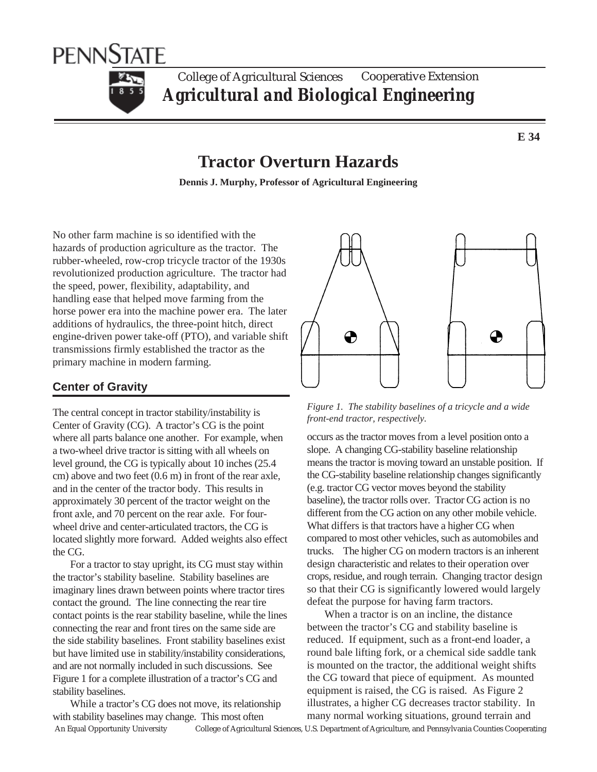

#### College of Agricultural Sciences *Agricultural and Biological Engineering* Cooperative Extension

**E 34**

# **Tractor Overturn Hazards**

**Dennis J. Murphy, Professor of Agricultural Engineering**

No other farm machine is so identified with the hazards of production agriculture as the tractor. The rubber-wheeled, row-crop tricycle tractor of the 1930s revolutionized production agriculture. The tractor had the speed, power, flexibility, adaptability, and handling ease that helped move farming from the horse power era into the machine power era. The later additions of hydraulics, the three-point hitch, direct engine-driven power take-off (PTO), and variable shift transmissions firmly established the tractor as the primary machine in modern farming.

# **Center of Gravity**

The central concept in tractor stability/instability is Center of Gravity (CG). A tractor's CG is the point where all parts balance one another. For example, when a two-wheel drive tractor is sitting with all wheels on level ground, the CG is typically about 10 inches (25.4 cm) above and two feet (0.6 m) in front of the rear axle, and in the center of the tractor body. This results in approximately 30 percent of the tractor weight on the front axle, and 70 percent on the rear axle. For fourwheel drive and center-articulated tractors, the CG is located slightly more forward. Added weights also effect the CG.

For a tractor to stay upright, its CG must stay within the tractor's stability baseline. Stability baselines are imaginary lines drawn between points where tractor tires contact the ground. The line connecting the rear tire contact points is the rear stability baseline, while the lines connecting the rear and front tires on the same side are the side stability baselines. Front stability baselines exist but have limited use in stability/instability considerations, and are not normally included in such discussions. See Figure 1 for a complete illustration of a tractor's CG and stability baselines.

While a tractor's CG does not move, its relationship with stability baselines may change. This most often



*Figure 1. The stability baselines of a tricycle and a wide front-end tractor, respectively.*

occurs as the tractor moves from a level position onto a slope. A changing CG-stability baseline relationship means the tractor is moving toward an unstable position. If the CG-stability baseline relationship changes significantly (e.g. tractor CG vector moves beyond the stability baseline), the tractor rolls over. Tractor CG action is no different from the CG action on any other mobile vehicle. What differs is that tractors have a higher CG when compared to most other vehicles, such as automobiles and trucks. The higher CG on modern tractors is an inherent design characteristic and relates to their operation over crops, residue, and rough terrain. Changing tractor design so that their CG is significantly lowered would largely defeat the purpose for having farm tractors.

When a tractor is on an incline, the distance between the tractor's CG and stability baseline is reduced. If equipment, such as a front-end loader, a round bale lifting fork, or a chemical side saddle tank is mounted on the tractor, the additional weight shifts the CG toward that piece of equipment. As mounted equipment is raised, the CG is raised. As Figure 2 illustrates, a higher CG decreases tractor stability. In many normal working situations, ground terrain and

An Equal Opportunity University College of Agricultural Sciences, U.S. Department of Agriculture, and Pennsylvania Counties Cooperating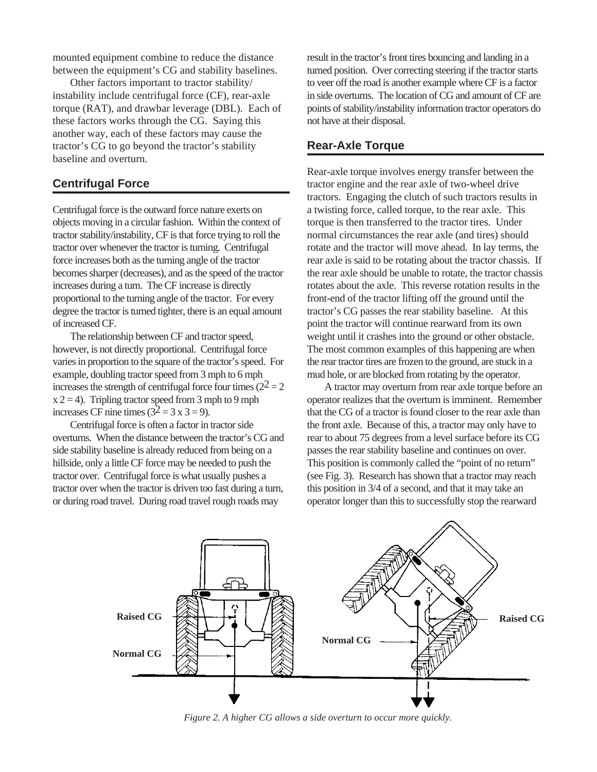mounted equipment combine to reduce the distance between the equipment's CG and stability baselines.

Other factors important to tractor stability/ instability include centrifugal force (CF), rear-axle torque (RAT), and drawbar leverage (DBL). Each of these factors works through the CG. Saying this another way, each of these factors may cause the tractor's CG to go beyond the tractor's stability baseline and overturn.

#### **Centrifugal Force**

Centrifugal force is the outward force nature exerts on objects moving in a circular fashion. Within the context of tractor stability/instability, CF is that force trying to roll the tractor over whenever the tractor is turning. Centrifugal force increases both as the turning angle of the tractor becomes sharper (decreases), and as the speed of the tractor increases during a turn. The CF increase is directly proportional to the turning angle of the tractor. For every degree the tractor is turned tighter, there is an equal amount of increased CF.

The relationship between CF and tractor speed, however, is not directly proportional. Centrifugal force varies in proportion to the square of the tractor's speed. For example, doubling tractor speed from 3 mph to 6 mph increases the strength of centrifugal force four times ( $2^2 = 2$ )  $x 2 = 4$ ). Tripling tractor speed from 3 mph to 9 mph increases CF nine times  $(3^2 = 3 \times 3 = 9)$ .

Centrifugal force is often a factor in tractor side overturns. When the distance between the tractor's CG and side stability baseline is already reduced from being on a hillside, only a little CF force may be needed to push the tractor over. Centrifugal force is what usually pushes a tractor over when the tractor is driven too fast during a turn, or during road travel. During road travel rough roads may

result in the tractor's front tires bouncing and landing in a turned position. Over correcting steering if the tractor starts to veer off the road is another example where CF is a factor in side overturns. The location of CG and amount of CF are points of stability/instability information tractor operators do not have at their disposal.

### **Rear-Axle Torque**

Rear-axle torque involves energy transfer between the tractor engine and the rear axle of two-wheel drive tractors. Engaging the clutch of such tractors results in a twisting force, called torque, to the rear axle. This torque is then transferred to the tractor tires. Under normal circumstances the rear axle (and tires) should rotate and the tractor will move ahead. In lay terms, the rear axle is said to be rotating about the tractor chassis. If the rear axle should be unable to rotate, the tractor chassis rotates about the axle. This reverse rotation results in the front-end of the tractor lifting off the ground until the tractor's CG passes the rear stability baseline. At this point the tractor will continue rearward from its own weight until it crashes into the ground or other obstacle. The most common examples of this happening are when the rear tractor tires are frozen to the ground, are stuck in a mud hole, or are blocked from rotating by the operator.

A tractor may overturn from rear axle torque before an operator realizes that the overturn is imminent. Remember that the CG of a tractor is found closer to the rear axle than the front axle. Because of this, a tractor may only have to rear to about 75 degrees from a level surface before its CG passes the rear stability baseline and continues on over. This position is commonly called the "point of no return" (see Fig. 3). Research has shown that a tractor may reach this position in 3/4 of a second, and that it may take an operator longer than this to successfully stop the rearward



*Figure 2. A higher CG allows a side overturn to occur more quickly.*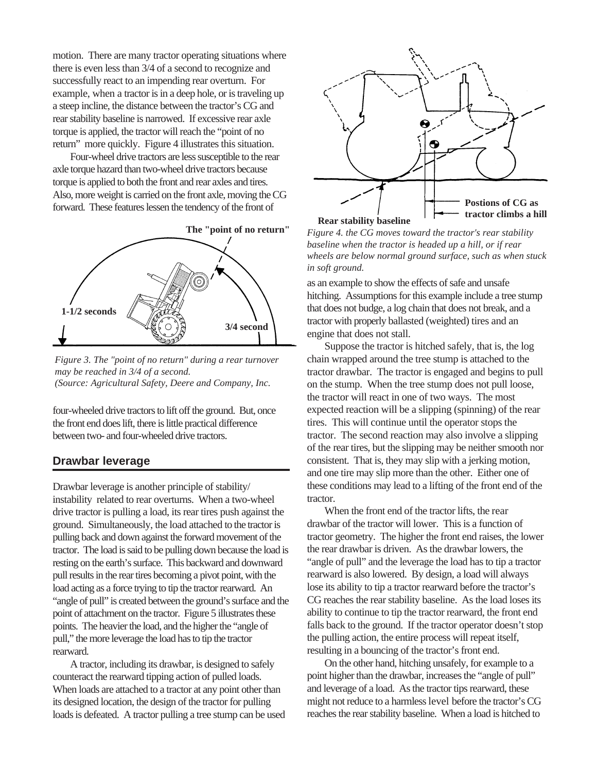motion. There are many tractor operating situations where there is even less than 3/4 of a second to recognize and successfully react to an impending rear overturn. For example, when a tractor is in a deep hole, or is traveling up a steep incline, the distance between the tractor's CG and rear stability baseline is narrowed. If excessive rear axle torque is applied, the tractor will reach the "point of no return" more quickly. Figure 4 illustrates this situation.

Four-wheel drive tractors are less susceptible to the rear axle torque hazard than two-wheel drive tractors because torque is applied to both the front and rear axles and tires. Also, more weight is carried on the front axle, moving the CG forward. These features lessen the tendency of the front of



*Figure 3. The "point of no return" during a rear turnover may be reached in 3/4 of a second. (Source: Agricultural Safety, Deere and Company, Inc.*

four-wheeled drive tractors to lift off the ground. But, once the front end does lift, there is little practical difference between two- and four-wheeled drive tractors.

## **Drawbar leverage**

Drawbar leverage is another principle of stability/ instability related to rear overturns. When a two-wheel drive tractor is pulling a load, its rear tires push against the ground. Simultaneously, the load attached to the tractor is pulling back and down against the forward movement of the tractor. The load is said to be pulling down because the load is resting on the earth's surface. This backward and downward pull results in the rear tires becoming a pivot point, with the load acting as a force trying to tip the tractor rearward. An "angle of pull" is created between the ground's surface and the point of attachment on the tractor. Figure 5 illustrates these points. The heavier the load, and the higher the "angle of pull," the more leverage the load has to tip the tractor rearward.

A tractor, including its drawbar, is designed to safely counteract the rearward tipping action of pulled loads. When loads are attached to a tractor at any point other than its designed location, the design of the tractor for pulling loads is defeated. A tractor pulling a tree stump can be used



*Figure 4. the CG moves toward the tractor's rear stability baseline when the tractor is headed up a hill, or if rear wheels are below normal ground surface, such as when stuck in soft ground.*

as an example to show the effects of safe and unsafe hitching. Assumptions for this example include a tree stump that does not budge, a log chain that does not break, and a tractor with properly ballasted (weighted) tires and an engine that does not stall.

Suppose the tractor is hitched safely, that is, the log chain wrapped around the tree stump is attached to the tractor drawbar. The tractor is engaged and begins to pull on the stump. When the tree stump does not pull loose, the tractor will react in one of two ways. The most expected reaction will be a slipping (spinning) of the rear tires. This will continue until the operator stops the tractor. The second reaction may also involve a slipping of the rear tires, but the slipping may be neither smooth nor consistent. That is, they may slip with a jerking motion, and one tire may slip more than the other. Either one of these conditions may lead to a lifting of the front end of the tractor.

When the front end of the tractor lifts, the rear drawbar of the tractor will lower. This is a function of tractor geometry. The higher the front end raises, the lower the rear drawbar is driven. As the drawbar lowers, the "angle of pull" and the leverage the load has to tip a tractor rearward is also lowered. By design, a load will always lose its ability to tip a tractor rearward before the tractor's CG reaches the rear stability baseline. As the load loses its ability to continue to tip the tractor rearward, the front end falls back to the ground. If the tractor operator doesn't stop the pulling action, the entire process will repeat itself, resulting in a bouncing of the tractor's front end.

On the other hand, hitching unsafely, for example to a point higher than the drawbar, increases the "angle of pull" and leverage of a load. As the tractor tips rearward, these might not reduce to a harmless level before the tractor's CG reaches the rear stability baseline. When a load is hitched to